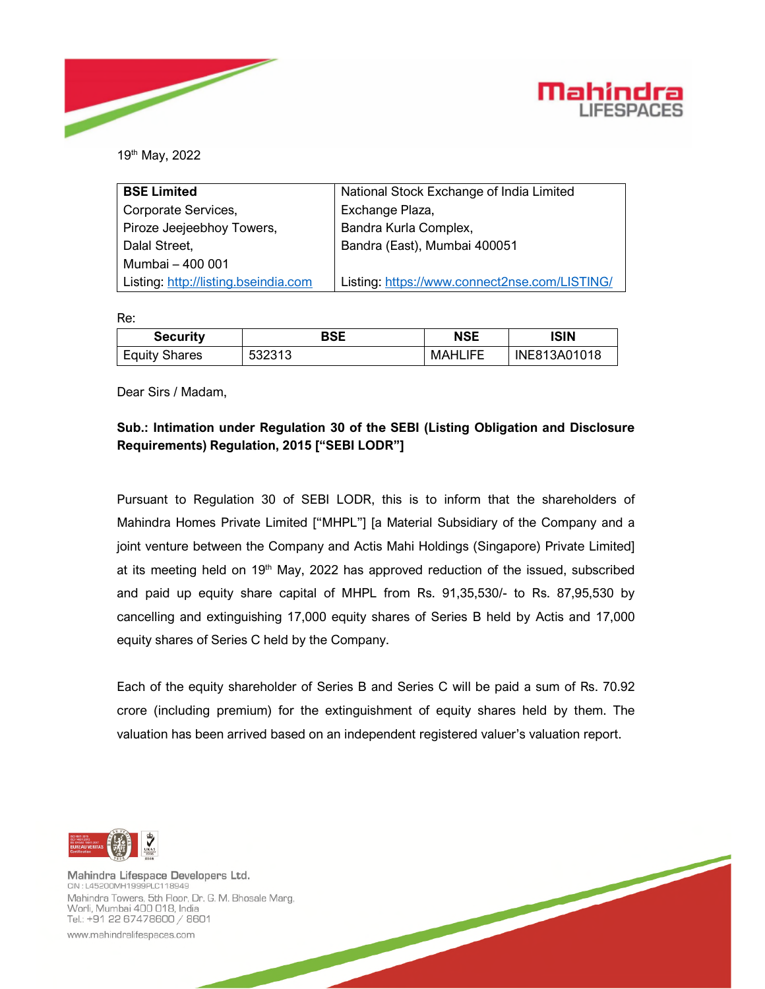



19th May, 2022

| <b>BSE Limited</b>                   | National Stock Exchange of India Limited      |  |  |
|--------------------------------------|-----------------------------------------------|--|--|
| Corporate Services,                  | Exchange Plaza,                               |  |  |
| Piroze Jeejeebhoy Towers,            | Bandra Kurla Complex,                         |  |  |
| Dalal Street,                        | Bandra (East), Mumbai 400051                  |  |  |
| Mumbai - 400 001                     |                                               |  |  |
| Listing: http://listing.bseindia.com | Listing: https://www.connect2nse.com/LISTING/ |  |  |

Re:

| <b>Security</b>      | BSE    | <b>NSE</b>     | ISIN         |
|----------------------|--------|----------------|--------------|
| <b>Equity Shares</b> | 532313 | <b>MAHLIFE</b> | INE813A01018 |

Dear Sirs / Madam,

## **Sub.: Intimation under Regulation 30 of the SEBI (Listing Obligation and Disclosure Requirements) Regulation, 2015 ["SEBI LODR"]**

Pursuant to Regulation 30 of SEBI LODR, this is to inform that the shareholders of Mahindra Homes Private Limited ["MHPL"] [a Material Subsidiary of the Company and a joint venture between the Company and Actis Mahi Holdings (Singapore) Private Limited] at its meeting held on  $19<sup>th</sup>$  May, 2022 has approved reduction of the issued, subscribed and paid up equity share capital of MHPL from Rs. 91,35,530/- to Rs. 87,95,530 by cancelling and extinguishing 17,000 equity shares of Series B held by Actis and 17,000 equity shares of Series C held by the Company.

Each of the equity shareholder of Series B and Series C will be paid a sum of Rs. 70.92 crore (including premium) for the extinguishment of equity shares held by them. The valuation has been arrived based on an independent registered valuer's valuation report.



Mahindra Lifespace Developers Ltd. CIN: L45200MH1999PLC118949 Mahindra Towers, 5th Floor, Dr. G. M. Bhosale Marg, Worli, Mumbai 400 018, India Tel.: +91 22 67478600 / 8601

www.mahindralifespaces.com